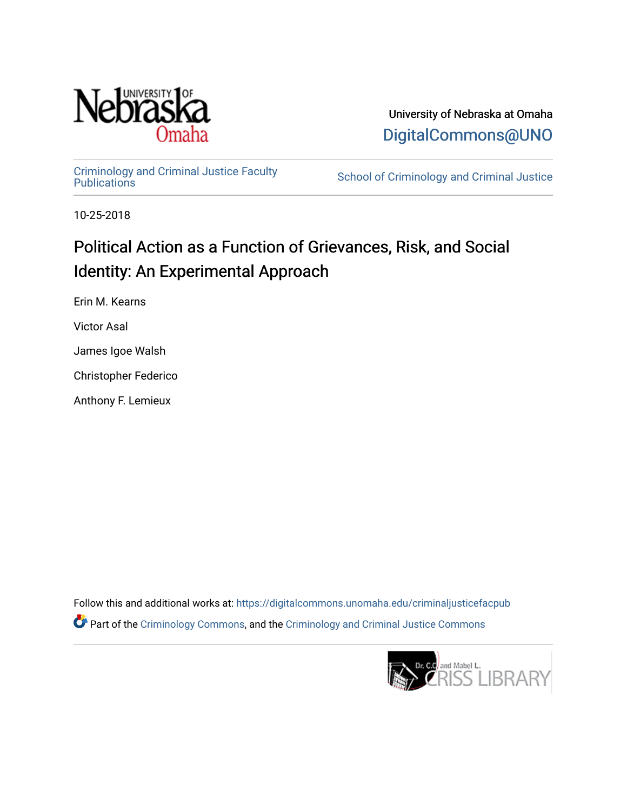

University of Nebraska at Omaha [DigitalCommons@UNO](https://digitalcommons.unomaha.edu/) 

[Criminology and Criminal Justice Faculty](https://digitalcommons.unomaha.edu/criminaljusticefacpub)

School of Criminology and Criminal Justice

10-25-2018

# Political Action as a Function of Grievances, Risk, and Social Identity: An Experimental Approach

Erin M. Kearns

Victor Asal

James Igoe Walsh

Christopher Federico

Anthony F. Lemieux

Follow this and additional works at: [https://digitalcommons.unomaha.edu/criminaljusticefacpub](https://digitalcommons.unomaha.edu/criminaljusticefacpub?utm_source=digitalcommons.unomaha.edu%2Fcriminaljusticefacpub%2F115&utm_medium=PDF&utm_campaign=PDFCoverPages)  Part of the [Criminology Commons](https://network.bepress.com/hgg/discipline/417?utm_source=digitalcommons.unomaha.edu%2Fcriminaljusticefacpub%2F115&utm_medium=PDF&utm_campaign=PDFCoverPages), and the [Criminology and Criminal Justice Commons](https://network.bepress.com/hgg/discipline/367?utm_source=digitalcommons.unomaha.edu%2Fcriminaljusticefacpub%2F115&utm_medium=PDF&utm_campaign=PDFCoverPages)

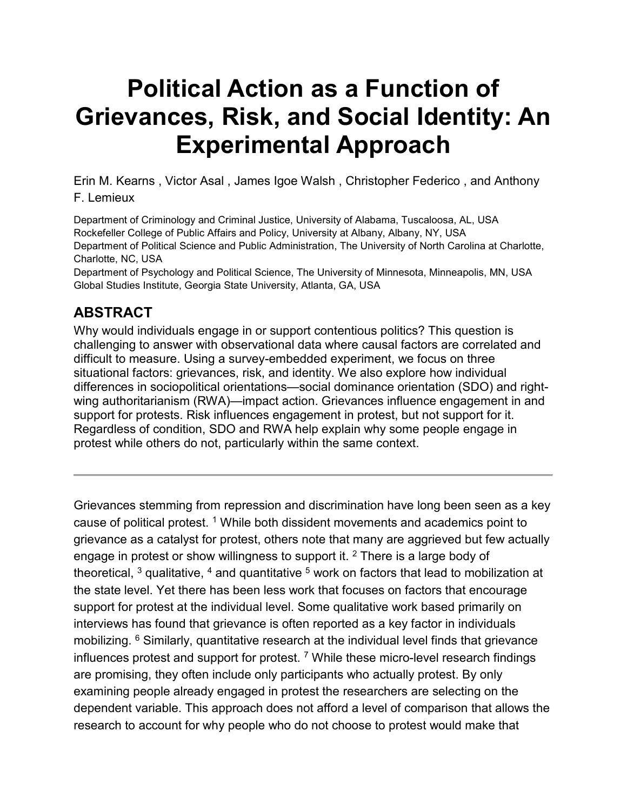# **Political Action as a Function of Grievances, Risk, and Social Identity: An Experimental Approach**

Erin M. Kearns , Victor Asal , James Igoe Walsh , Christopher Federico , and Anthony F. Lemieux

Department of Criminology and Criminal Justice, University of Alabama, Tuscaloosa, AL, USA Rockefeller College of Public Affairs and Policy, University at Albany, Albany, NY, USA Department of Political Science and Public Administration, The University of North Carolina at Charlotte, Charlotte, NC, USA

Department of Psychology and Political Science, The University of Minnesota, Minneapolis, MN, USA Global Studies Institute, Georgia State University, Atlanta, GA, USA

# **ABSTRACT**

Why would individuals engage in or support contentious politics? This question is challenging to answer with observational data where causal factors are correlated and difficult to measure. Using a survey-embedded experiment, we focus on three situational factors: grievances, risk, and identity. We also explore how individual differences in sociopolitical orientations—social dominance orientation (SDO) and rightwing authoritarianism (RWA)—impact action. Grievances influence engagement in and support for protests. Risk influences engagement in protest, but not support for it. Regardless of condition, SDO and RWA help explain why some people engage in protest while others do not, particularly within the same context.

Grievances stemming from repression and discrimination have long been seen as a key cause of political protest. <sup>[1](https://www.tandfonline.com/reader/content/17f2b0c7109/10.1080/1057610X.2018.1507790/format/epub/EPUB/xhtml/index.xhtml#EN0001)</sup> While both dissident movements and academics point to grievance as a catalyst for protest, others note that many are aggrieved but few actually engage in protest or show willingness to support it. <sup>[2](https://www.tandfonline.com/reader/content/17f2b0c7109/10.1080/1057610X.2018.1507790/format/epub/EPUB/xhtml/index.xhtml#EN0002)</sup> There is a large body of theoretical,  $3$  qualitative,  $4$  and quantitative  $5$  work on factors that lead to mobilization at the state level. Yet there has been less work that focuses on factors that encourage support for protest at the individual level. Some qualitative work based primarily on interviews has found that grievance is often reported as a key factor in individuals mobilizing. <sup>[6](https://www.tandfonline.com/reader/content/17f2b0c7109/10.1080/1057610X.2018.1507790/format/epub/EPUB/xhtml/index.xhtml#EN0006)</sup> Similarly, quantitative research at the individual level finds that grievance influences protest and support for protest.<sup>[7](https://www.tandfonline.com/reader/content/17f2b0c7109/10.1080/1057610X.2018.1507790/format/epub/EPUB/xhtml/index.xhtml#EN0007)</sup> While these micro-level research findings are promising, they often include only participants who actually protest. By only examining people already engaged in protest the researchers are selecting on the dependent variable. This approach does not afford a level of comparison that allows the research to account for why people who do not choose to protest would make that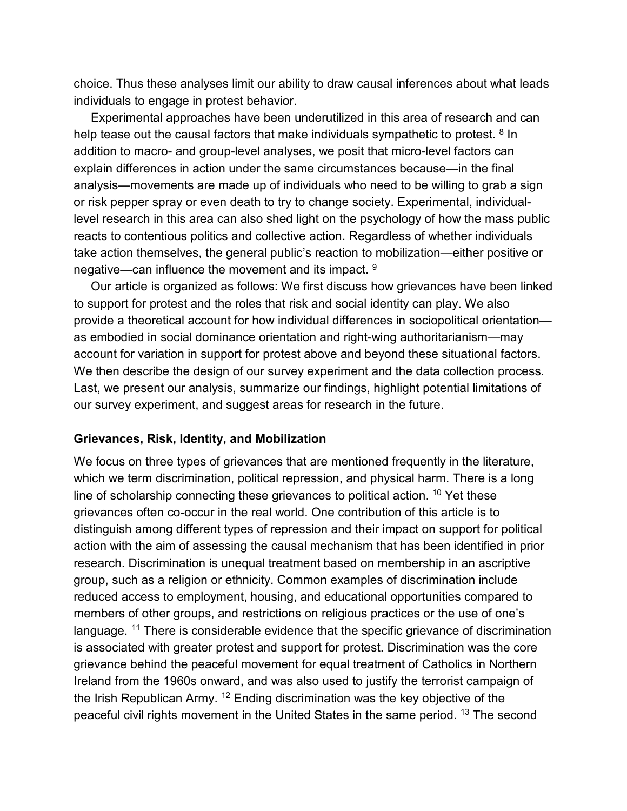choice. Thus these analyses limit our ability to draw causal inferences about what leads individuals to engage in protest behavior.

Experimental approaches have been underutilized in this area of research and can help tease out the causal factors that make individuals sympathetic to protest. <sup>[8](https://www.tandfonline.com/reader/content/17f2b0c7109/10.1080/1057610X.2018.1507790/format/epub/EPUB/xhtml/index.xhtml#EN0008)</sup> In addition to macro- and group-level analyses, we posit that micro-level factors can explain differences in action under the same circumstances because—in the final analysis—movements are made up of individuals who need to be willing to grab a sign or risk pepper spray or even death to try to change society. Experimental, individuallevel research in this area can also shed light on the psychology of how the mass public reacts to contentious politics and collective action. Regardless of whether individuals take action themselves, the general public's reaction to mobilization—either positive or negative—can influence the movement and its impact. [9](https://www.tandfonline.com/reader/content/17f2b0c7109/10.1080/1057610X.2018.1507790/format/epub/EPUB/xhtml/index.xhtml#EN0009)

Our article is organized as follows: We first discuss how grievances have been linked to support for protest and the roles that risk and social identity can play. We also provide a theoretical account for how individual differences in sociopolitical orientation as embodied in social dominance orientation and right-wing authoritarianism—may account for variation in support for protest above and beyond these situational factors. We then describe the design of our survey experiment and the data collection process. Last, we present our analysis, summarize our findings, highlight potential limitations of our survey experiment, and suggest areas for research in the future.

#### **Grievances, Risk, Identity, and Mobilization**

We focus on three types of grievances that are mentioned frequently in the literature, which we term discrimination, political repression, and physical harm. There is a long line of scholarship connecting these grievances to political action. <sup>[10](https://www.tandfonline.com/reader/content/17f2b0c7109/10.1080/1057610X.2018.1507790/format/epub/EPUB/xhtml/index.xhtml#EN0010)</sup> Yet these grievances often co-occur in the real world. One contribution of this article is to distinguish among different types of repression and their impact on support for political action with the aim of assessing the causal mechanism that has been identified in prior research. Discrimination is unequal treatment based on membership in an ascriptive group, such as a religion or ethnicity. Common examples of discrimination include reduced access to employment, housing, and educational opportunities compared to members of other groups, and restrictions on religious practices or the use of one's language. <sup>[11](https://www.tandfonline.com/reader/content/17f2b0c7109/10.1080/1057610X.2018.1507790/format/epub/EPUB/xhtml/index.xhtml#EN0011)</sup> There is considerable evidence that the specific grievance of discrimination is associated with greater protest and support for protest. Discrimination was the core grievance behind the peaceful movement for equal treatment of Catholics in Northern Ireland from the 1960s onward, and was also used to justify the terrorist campaign of the Irish Republican Army. [12](https://www.tandfonline.com/reader/content/17f2b0c7109/10.1080/1057610X.2018.1507790/format/epub/EPUB/xhtml/index.xhtml#EN0012) Ending discrimination was the key objective of the peaceful civil rights movement in the United States in the same period. [13](https://www.tandfonline.com/reader/content/17f2b0c7109/10.1080/1057610X.2018.1507790/format/epub/EPUB/xhtml/index.xhtml#EN0013) The second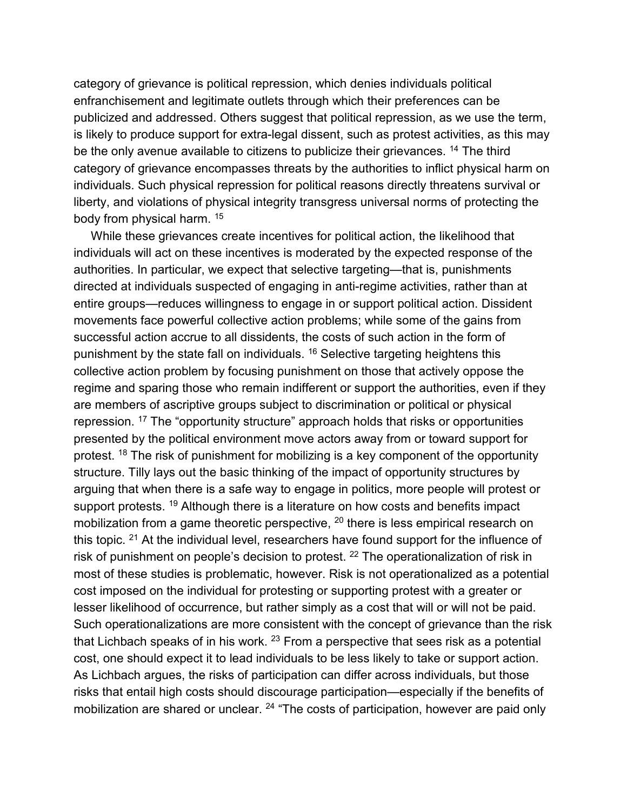category of grievance is political repression, which denies individuals political enfranchisement and legitimate outlets through which their preferences can be publicized and addressed. Others suggest that political repression, as we use the term, is likely to produce support for extra-legal dissent, such as protest activities, as this may be the only avenue available to citizens to publicize their grievances. <sup>[14](https://www.tandfonline.com/reader/content/17f2b0c7109/10.1080/1057610X.2018.1507790/format/epub/EPUB/xhtml/index.xhtml#EN0014)</sup> The third category of grievance encompasses threats by the authorities to inflict physical harm on individuals. Such physical repression for political reasons directly threatens survival or liberty, and violations of physical integrity transgress universal norms of protecting the body from physical harm. [15](https://www.tandfonline.com/reader/content/17f2b0c7109/10.1080/1057610X.2018.1507790/format/epub/EPUB/xhtml/index.xhtml#EN0015)

While these grievances create incentives for political action, the likelihood that individuals will act on these incentives is moderated by the expected response of the authorities. In particular, we expect that selective targeting—that is, punishments directed at individuals suspected of engaging in anti-regime activities, rather than at entire groups—reduces willingness to engage in or support political action. Dissident movements face powerful collective action problems; while some of the gains from successful action accrue to all dissidents, the costs of such action in the form of punishment by the state fall on individuals. [16](https://www.tandfonline.com/reader/content/17f2b0c7109/10.1080/1057610X.2018.1507790/format/epub/EPUB/xhtml/index.xhtml#EN0016) Selective targeting heightens this collective action problem by focusing punishment on those that actively oppose the regime and sparing those who remain indifferent or support the authorities, even if they are members of ascriptive groups subject to discrimination or political or physical repression. [17](https://www.tandfonline.com/reader/content/17f2b0c7109/10.1080/1057610X.2018.1507790/format/epub/EPUB/xhtml/index.xhtml#EN0017) The "opportunity structure" approach holds that risks or opportunities presented by the political environment move actors away from or toward support for protest. <sup>[18](https://www.tandfonline.com/reader/content/17f2b0c7109/10.1080/1057610X.2018.1507790/format/epub/EPUB/xhtml/index.xhtml#EN0018)</sup> The risk of punishment for mobilizing is a key component of the opportunity structure. Tilly lays out the basic thinking of the impact of opportunity structures by arguing that when there is a safe way to engage in politics, more people will protest or support protests. <sup>[19](https://www.tandfonline.com/reader/content/17f2b0c7109/10.1080/1057610X.2018.1507790/format/epub/EPUB/xhtml/index.xhtml#EN0019)</sup> Although there is a literature on how costs and benefits impact mobilization from a game theoretic perspective, <sup>[20](https://www.tandfonline.com/reader/content/17f2b0c7109/10.1080/1057610X.2018.1507790/format/epub/EPUB/xhtml/index.xhtml#EN0020)</sup> there is less empirical research on this topic. <sup>[21](https://www.tandfonline.com/reader/content/17f2b0c7109/10.1080/1057610X.2018.1507790/format/epub/EPUB/xhtml/index.xhtml#EN0021)</sup> At the individual level, researchers have found support for the influence of risk of punishment on people's decision to protest. [22](https://www.tandfonline.com/reader/content/17f2b0c7109/10.1080/1057610X.2018.1507790/format/epub/EPUB/xhtml/index.xhtml#EN0022) The operationalization of risk in most of these studies is problematic, however. Risk is not operationalized as a potential cost imposed on the individual for protesting or supporting protest with a greater or lesser likelihood of occurrence, but rather simply as a cost that will or will not be paid. Such operationalizations are more consistent with the concept of grievance than the risk that Lichbach speaks of in his work.  $23$  From a perspective that sees risk as a potential cost, one should expect it to lead individuals to be less likely to take or support action. As Lichbach argues, the risks of participation can differ across individuals, but those risks that entail high costs should discourage participation—especially if the benefits of mobilization are shared or unclear. <sup>[24](https://www.tandfonline.com/reader/content/17f2b0c7109/10.1080/1057610X.2018.1507790/format/epub/EPUB/xhtml/index.xhtml#EN0024)</sup> "The costs of participation, however are paid only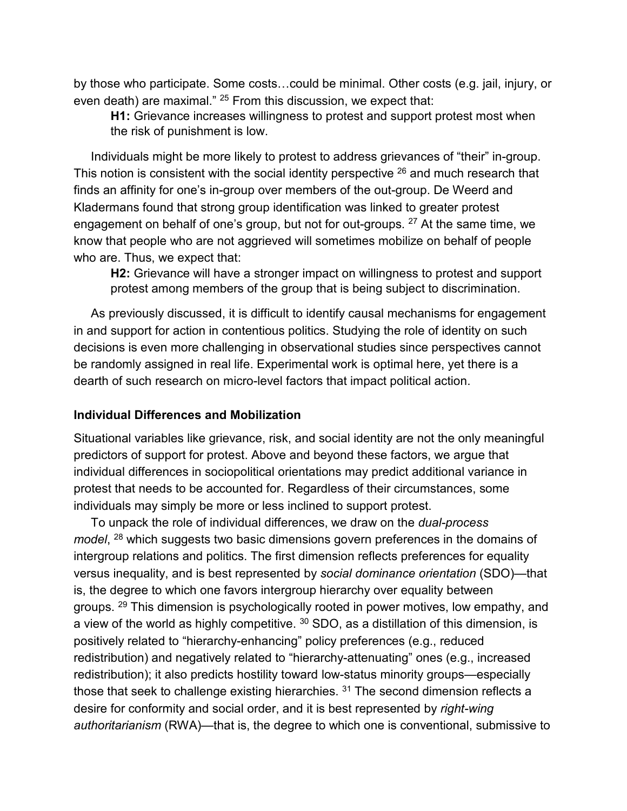by those who participate. Some costs…could be minimal. Other costs (e.g. jail, injury, or even death) are maximal." <sup>[25](https://www.tandfonline.com/reader/content/17f2b0c7109/10.1080/1057610X.2018.1507790/format/epub/EPUB/xhtml/index.xhtml#EN0025)</sup> From this discussion, we expect that:

**H1:** Grievance increases willingness to protest and support protest most when the risk of punishment is low.

Individuals might be more likely to protest to address grievances of "their" in-group. This notion is consistent with the social identity perspective <sup>[26](https://www.tandfonline.com/reader/content/17f2b0c7109/10.1080/1057610X.2018.1507790/format/epub/EPUB/xhtml/index.xhtml#EN0026)</sup> and much research that finds an affinity for one's in-group over members of the out-group. De Weerd and Kladermans found that strong group identification was linked to greater protest engagement on behalf of one's group, but not for out-groups.  $27$  At the same time, we know that people who are not aggrieved will sometimes mobilize on behalf of people who are. Thus, we expect that:

**H2:** Grievance will have a stronger impact on willingness to protest and support protest among members of the group that is being subject to discrimination.

As previously discussed, it is difficult to identify causal mechanisms for engagement in and support for action in contentious politics. Studying the role of identity on such decisions is even more challenging in observational studies since perspectives cannot be randomly assigned in real life. Experimental work is optimal here, yet there is a dearth of such research on micro-level factors that impact political action.

#### **Individual Differences and Mobilization**

Situational variables like grievance, risk, and social identity are not the only meaningful predictors of support for protest. Above and beyond these factors, we argue that individual differences in sociopolitical orientations may predict additional variance in protest that needs to be accounted for. Regardless of their circumstances, some individuals may simply be more or less inclined to support protest.

To unpack the role of individual differences, we draw on the *dual-process model*, [28](https://www.tandfonline.com/reader/content/17f2b0c7109/10.1080/1057610X.2018.1507790/format/epub/EPUB/xhtml/index.xhtml#EN0028) which suggests two basic dimensions govern preferences in the domains of intergroup relations and politics. The first dimension reflects preferences for equality versus inequality, and is best represented by *social dominance orientation* (SDO)—that is, the degree to which one favors intergroup hierarchy over equality between groups. <sup>[29](https://www.tandfonline.com/reader/content/17f2b0c7109/10.1080/1057610X.2018.1507790/format/epub/EPUB/xhtml/index.xhtml#EN0029)</sup> This dimension is psychologically rooted in power motives, low empathy, and a view of the world as highly competitive.  $30$  SDO, as a distillation of this dimension, is positively related to "hierarchy-enhancing" policy preferences (e.g., reduced redistribution) and negatively related to "hierarchy-attenuating" ones (e.g., increased redistribution); it also predicts hostility toward low-status minority groups—especially those that seek to challenge existing hierarchies.  $31$  The second dimension reflects a desire for conformity and social order, and it is best represented by *right-wing authoritarianism* (RWA)—that is, the degree to which one is conventional, submissive to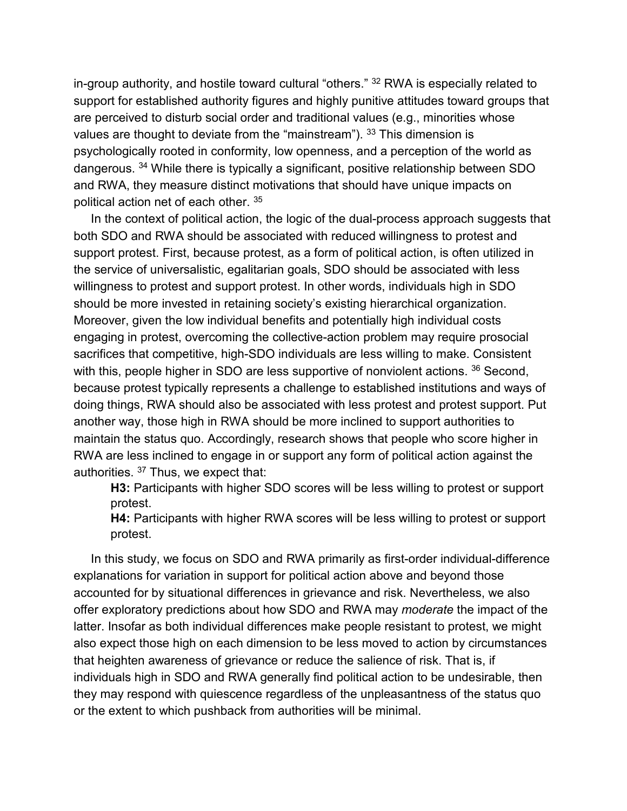in-group authority, and hostile toward cultural "others." [32](https://www.tandfonline.com/reader/content/17f2b0c7109/10.1080/1057610X.2018.1507790/format/epub/EPUB/xhtml/index.xhtml#EN0032) RWA is especially related to support for established authority figures and highly punitive attitudes toward groups that are perceived to disturb social order and traditional values (e.g., minorities whose values are thought to deviate from the "mainstream"). [33](https://www.tandfonline.com/reader/content/17f2b0c7109/10.1080/1057610X.2018.1507790/format/epub/EPUB/xhtml/index.xhtml#EN0033) This dimension is psychologically rooted in conformity, low openness, and a perception of the world as dangerous. [34](https://www.tandfonline.com/reader/content/17f2b0c7109/10.1080/1057610X.2018.1507790/format/epub/EPUB/xhtml/index.xhtml#EN0034) While there is typically a significant, positive relationship between SDO and RWA, they measure distinct motivations that should have unique impacts on political action net of each other. [35](https://www.tandfonline.com/reader/content/17f2b0c7109/10.1080/1057610X.2018.1507790/format/epub/EPUB/xhtml/index.xhtml#EN0035)

In the context of political action, the logic of the dual-process approach suggests that both SDO and RWA should be associated with reduced willingness to protest and support protest. First, because protest, as a form of political action, is often utilized in the service of universalistic, egalitarian goals, SDO should be associated with less willingness to protest and support protest. In other words, individuals high in SDO should be more invested in retaining society's existing hierarchical organization. Moreover, given the low individual benefits and potentially high individual costs engaging in protest, overcoming the collective-action problem may require prosocial sacrifices that competitive, high-SDO individuals are less willing to make. Consistent with this, people higher in SDO are less supportive of nonviolent actions. <sup>[36](https://www.tandfonline.com/reader/content/17f2b0c7109/10.1080/1057610X.2018.1507790/format/epub/EPUB/xhtml/index.xhtml#EN0036)</sup> Second, because protest typically represents a challenge to established institutions and ways of doing things, RWA should also be associated with less protest and protest support. Put another way, those high in RWA should be more inclined to support authorities to maintain the status quo. Accordingly, research shows that people who score higher in RWA are less inclined to engage in or support any form of political action against the authorities. [37](https://www.tandfonline.com/reader/content/17f2b0c7109/10.1080/1057610X.2018.1507790/format/epub/EPUB/xhtml/index.xhtml#EN0037) Thus, we expect that:

**H3:** Participants with higher SDO scores will be less willing to protest or support protest.

**H4:** Participants with higher RWA scores will be less willing to protest or support protest.

In this study, we focus on SDO and RWA primarily as first-order individual-difference explanations for variation in support for political action above and beyond those accounted for by situational differences in grievance and risk. Nevertheless, we also offer exploratory predictions about how SDO and RWA may *moderate* the impact of the latter. Insofar as both individual differences make people resistant to protest, we might also expect those high on each dimension to be less moved to action by circumstances that heighten awareness of grievance or reduce the salience of risk. That is, if individuals high in SDO and RWA generally find political action to be undesirable, then they may respond with quiescence regardless of the unpleasantness of the status quo or the extent to which pushback from authorities will be minimal.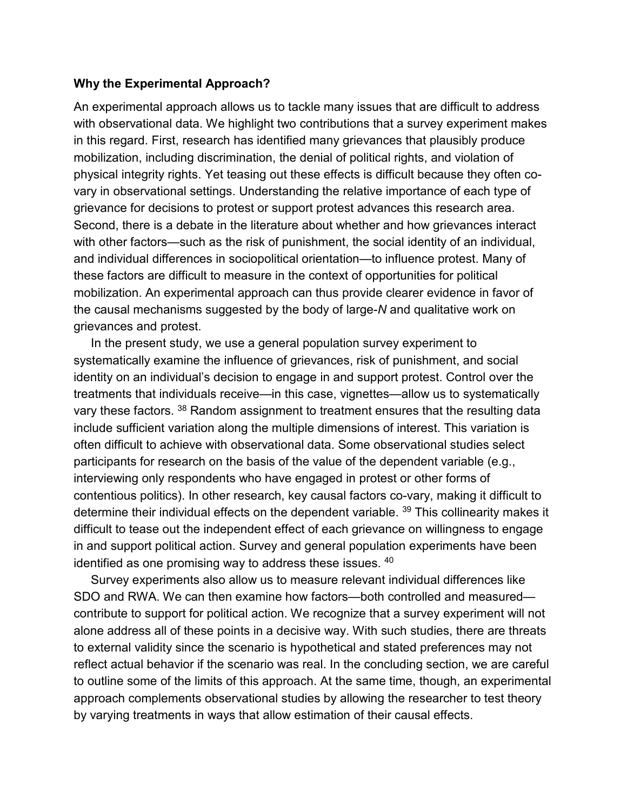#### **Why the Experimental Approach?**

An experimental approach allows us to tackle many issues that are difficult to address with observational data. We highlight two contributions that a survey experiment makes in this regard. First, research has identified many grievances that plausibly produce mobilization, including discrimination, the denial of political rights, and violation of physical integrity rights. Yet teasing out these effects is difficult because they often covary in observational settings. Understanding the relative importance of each type of grievance for decisions to protest or support protest advances this research area. Second, there is a debate in the literature about whether and how grievances interact with other factors—such as the risk of punishment, the social identity of an individual, and individual differences in sociopolitical orientation—to influence protest. Many of these factors are difficult to measure in the context of opportunities for political mobilization. An experimental approach can thus provide clearer evidence in favor of the causal mechanisms suggested by the body of large-*N* and qualitative work on grievances and protest.

In the present study, we use a general population survey experiment to systematically examine the influence of grievances, risk of punishment, and social identity on an individual's decision to engage in and support protest. Control over the treatments that individuals receive—in this case, vignettes—allow us to systematically vary these factors. <sup>[38](https://www.tandfonline.com/reader/content/17f2b0c7109/10.1080/1057610X.2018.1507790/format/epub/EPUB/xhtml/index.xhtml#EN0038)</sup> Random assignment to treatment ensures that the resulting data include sufficient variation along the multiple dimensions of interest. This variation is often difficult to achieve with observational data. Some observational studies select participants for research on the basis of the value of the dependent variable (e.g., interviewing only respondents who have engaged in protest or other forms of contentious politics). In other research, key causal factors co-vary, making it difficult to determine their individual effects on the dependent variable. <sup>[39](https://www.tandfonline.com/reader/content/17f2b0c7109/10.1080/1057610X.2018.1507790/format/epub/EPUB/xhtml/index.xhtml#EN0039)</sup> This collinearity makes it difficult to tease out the independent effect of each grievance on willingness to engage in and support political action. Survey and general population experiments have been identified as one promising way to address these issues. [40](https://www.tandfonline.com/reader/content/17f2b0c7109/10.1080/1057610X.2018.1507790/format/epub/EPUB/xhtml/index.xhtml#EN0040)

Survey experiments also allow us to measure relevant individual differences like SDO and RWA. We can then examine how factors—both controlled and measured contribute to support for political action. We recognize that a survey experiment will not alone address all of these points in a decisive way. With such studies, there are threats to external validity since the scenario is hypothetical and stated preferences may not reflect actual behavior if the scenario was real. In the concluding section, we are careful to outline some of the limits of this approach. At the same time, though, an experimental approach complements observational studies by allowing the researcher to test theory by varying treatments in ways that allow estimation of their causal effects.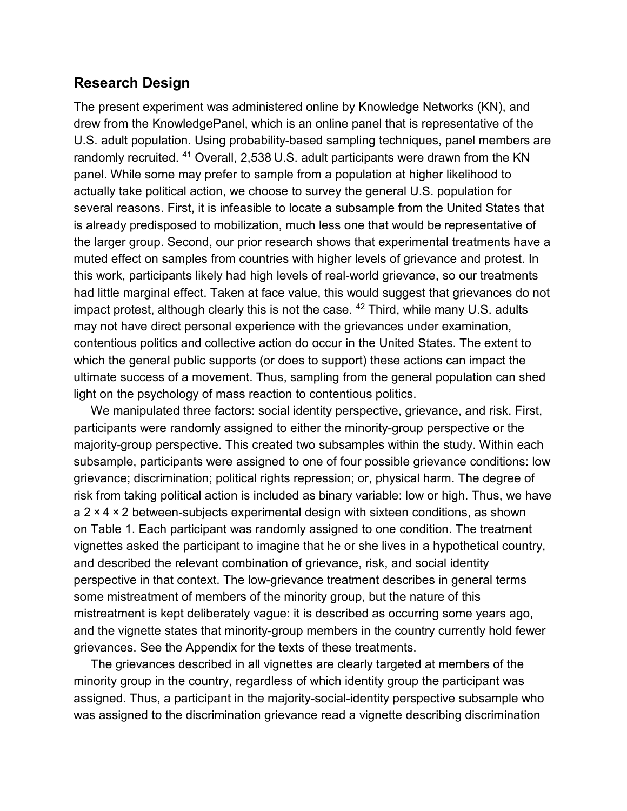# **Research Design**

The present experiment was administered online by Knowledge Networks (KN), and drew from the KnowledgePanel, which is an online panel that is representative of the U.S. adult population. Using probability-based sampling techniques, panel members are randomly recruited. [41](https://www.tandfonline.com/reader/content/17f2b0c7109/10.1080/1057610X.2018.1507790/format/epub/EPUB/xhtml/index.xhtml#EN0041) Overall, 2,538 U.S. adult participants were drawn from the KN panel. While some may prefer to sample from a population at higher likelihood to actually take political action, we choose to survey the general U.S. population for several reasons. First, it is infeasible to locate a subsample from the United States that is already predisposed to mobilization, much less one that would be representative of the larger group. Second, our prior research shows that experimental treatments have a muted effect on samples from countries with higher levels of grievance and protest. In this work, participants likely had high levels of real-world grievance, so our treatments had little marginal effect. Taken at face value, this would suggest that grievances do not impact protest, although clearly this is not the case. <sup>[42](https://www.tandfonline.com/reader/content/17f2b0c7109/10.1080/1057610X.2018.1507790/format/epub/EPUB/xhtml/index.xhtml#EN0042)</sup> Third, while many U.S. adults may not have direct personal experience with the grievances under examination, contentious politics and collective action do occur in the United States. The extent to which the general public supports (or does to support) these actions can impact the ultimate success of a movement. Thus, sampling from the general population can shed light on the psychology of mass reaction to contentious politics.

We manipulated three factors: social identity perspective, grievance, and risk. First, participants were randomly assigned to either the minority-group perspective or the majority-group perspective. This created two subsamples within the study. Within each subsample, participants were assigned to one of four possible grievance conditions: low grievance; discrimination; political rights repression; or, physical harm. The degree of risk from taking political action is included as binary variable: low or high. Thus, we have a 2 × 4 × 2 between-subjects experimental design with sixteen conditions, as shown on [Table 1.](https://www.tandfonline.com/reader/content/17f2b0c7109/10.1080/1057610X.2018.1507790/format/epub/EPUB/xhtml/t0001.xhtml) Each participant was randomly assigned to one condition. The treatment vignettes asked the participant to imagine that he or she lives in a hypothetical country, and described the relevant combination of grievance, risk, and social identity perspective in that context. The low-grievance treatment describes in general terms some mistreatment of members of the minority group, but the nature of this mistreatment is kept deliberately vague: it is described as occurring some years ago, and the vignette states that minority-group members in the country currently hold fewer grievances. See the Appendix for the texts of these treatments.

The grievances described in all vignettes are clearly targeted at members of the minority group in the country, regardless of which identity group the participant was assigned. Thus, a participant in the majority-social-identity perspective subsample who was assigned to the discrimination grievance read a vignette describing discrimination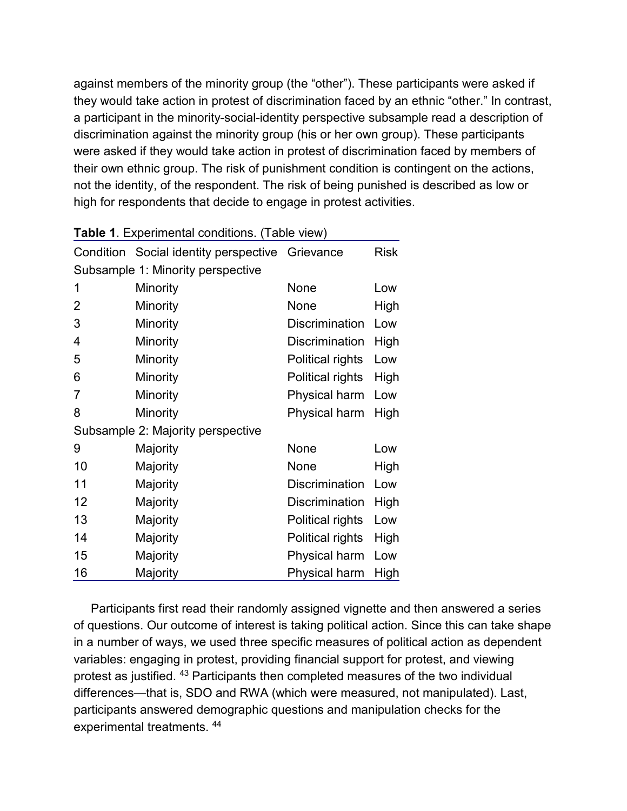against members of the minority group (the "other"). These participants were asked if they would take action in protest of discrimination faced by an ethnic "other." In contrast, a participant in the minority-social-identity perspective subsample read a description of discrimination against the minority group (his or her own group). These participants were asked if they would take action in protest of discrimination faced by members of their own ethnic group. The risk of punishment condition is contingent on the actions, not the identity, of the respondent. The risk of being punished is described as low or high for respondents that decide to engage in protest activities.

|                                   | Condition Social identity perspective | Grievance             | <b>Risk</b> |  |  |
|-----------------------------------|---------------------------------------|-----------------------|-------------|--|--|
| Subsample 1: Minority perspective |                                       |                       |             |  |  |
| 1                                 | Minority                              | None                  | Low         |  |  |
| 2                                 | Minority                              | None                  | High        |  |  |
| 3                                 | Minority                              | <b>Discrimination</b> | Low         |  |  |
| 4                                 | Minority                              | <b>Discrimination</b> | High        |  |  |
| 5                                 | Minority                              | Political rights      | Low         |  |  |
| 6                                 | Minority                              | Political rights      | High        |  |  |
| 7                                 | Minority                              | <b>Physical harm</b>  | Low         |  |  |
| 8                                 | Minority                              | Physical harm         | High        |  |  |
|                                   | Subsample 2: Majority perspective     |                       |             |  |  |
| 9                                 | Majority                              | None                  | Low         |  |  |
| 10                                | Majority                              | None                  | High        |  |  |
| 11                                | Majority                              | <b>Discrimination</b> | Low         |  |  |
| 12                                | Majority                              | <b>Discrimination</b> | High        |  |  |
| 13                                | Majority                              | Political rights      | Low         |  |  |
| 14                                | Majority                              | Political rights      | High        |  |  |
| 15                                | Majority                              | Physical harm         | Low         |  |  |
| 16                                | Majority                              | Physical harm         | <b>High</b> |  |  |

Participants first read their randomly assigned vignette and then answered a series of questions. Our outcome of interest is taking political action. Since this can take shape in a number of ways, we used three specific measures of political action as dependent variables: engaging in protest, providing financial support for protest, and viewing protest as justified. [43](https://www.tandfonline.com/reader/content/17f2b0c7109/10.1080/1057610X.2018.1507790/format/epub/EPUB/xhtml/index.xhtml#EN0043) Participants then completed measures of the two individual differences—that is, SDO and RWA (which were measured, not manipulated). Last, participants answered demographic questions and manipulation checks for the experimental treatments. [44](https://www.tandfonline.com/reader/content/17f2b0c7109/10.1080/1057610X.2018.1507790/format/epub/EPUB/xhtml/index.xhtml#EN0044)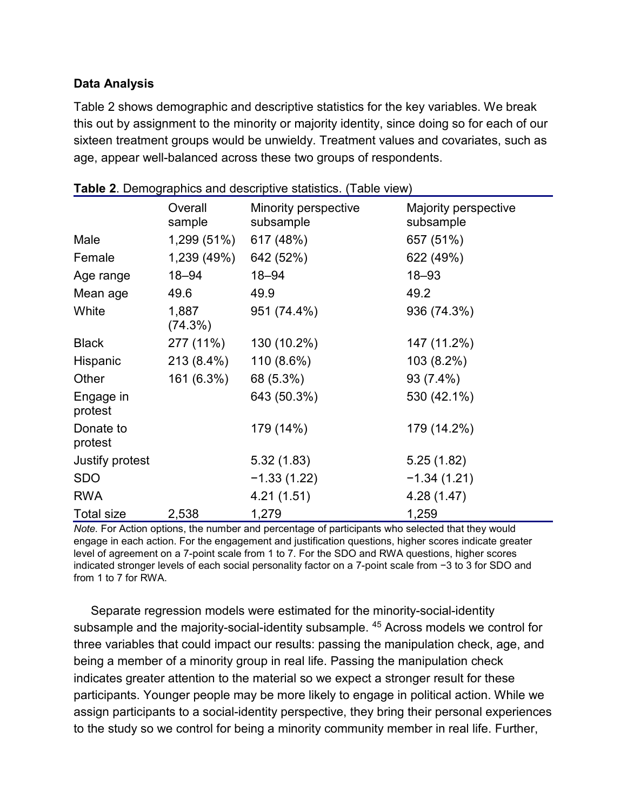## **Data Analysis**

[Table 2](https://www.tandfonline.com/reader/content/17f2b0c7109/10.1080/1057610X.2018.1507790/format/epub/EPUB/xhtml/t0002.xhtml) shows demographic and descriptive statistics for the key variables. We break this out by assignment to the minority or majority identity, since doing so for each of our sixteen treatment groups would be unwieldy. Treatment values and covariates, such as age, appear well-balanced across these two groups of respondents.

|                      | Overall<br>sample | Minority perspective<br>subsample | Majority perspective<br>subsample |
|----------------------|-------------------|-----------------------------------|-----------------------------------|
| Male                 | 1,299 (51%)       | 617 (48%)                         | 657 (51%)                         |
| Female               | 1,239 (49%)       | 642 (52%)                         | 622 (49%)                         |
| Age range            | $18 - 94$         | 18-94                             | $18 - 93$                         |
| Mean age             | 49.6              | 49.9                              | 49.2                              |
| White                | 1,887<br>(74.3%)  | 951 (74.4%)                       | 936 (74.3%)                       |
| <b>Black</b>         | 277 (11%)         | 130 (10.2%)                       | 147 (11.2%)                       |
| Hispanic             | 213 (8.4%)        | 110 (8.6%)                        | 103 (8.2%)                        |
| Other                | 161 (6.3%)        | 68 (5.3%)                         | 93 (7.4%)                         |
| Engage in<br>protest |                   | 643 (50.3%)                       | 530 (42.1%)                       |
| Donate to<br>protest |                   | 179 (14%)                         | 179 (14.2%)                       |
| Justify protest      |                   | 5.32(1.83)                        | 5.25(1.82)                        |
| <b>SDO</b>           |                   | $-1.33(1.22)$                     | $-1.34(1.21)$                     |
| <b>RWA</b>           |                   | 4.21(1.51)                        | 4.28 (1.47)                       |
| Total size           | 2,538             | 1,279                             | 1,259                             |

| Table 2. Demographics and descriptive statistics. (Table view) |  |
|----------------------------------------------------------------|--|
|----------------------------------------------------------------|--|

*Note.* For Action options, the number and percentage of participants who selected that they would engage in each action. For the engagement and justification questions, higher scores indicate greater level of agreement on a 7-point scale from 1 to 7. For the SDO and RWA questions, higher scores indicated stronger levels of each social personality factor on a 7-point scale from −3 to 3 for SDO and from 1 to 7 for RWA.

Separate regression models were estimated for the minority-social-identity subsample and the majority-social-identity subsample. <sup>[45](https://www.tandfonline.com/reader/content/17f2b0c7109/10.1080/1057610X.2018.1507790/format/epub/EPUB/xhtml/index.xhtml#EN0045)</sup> Across models we control for three variables that could impact our results: passing the manipulation check, age, and being a member of a minority group in real life. Passing the manipulation check indicates greater attention to the material so we expect a stronger result for these participants. Younger people may be more likely to engage in political action. While we assign participants to a social-identity perspective, they bring their personal experiences to the study so we control for being a minority community member in real life. Further,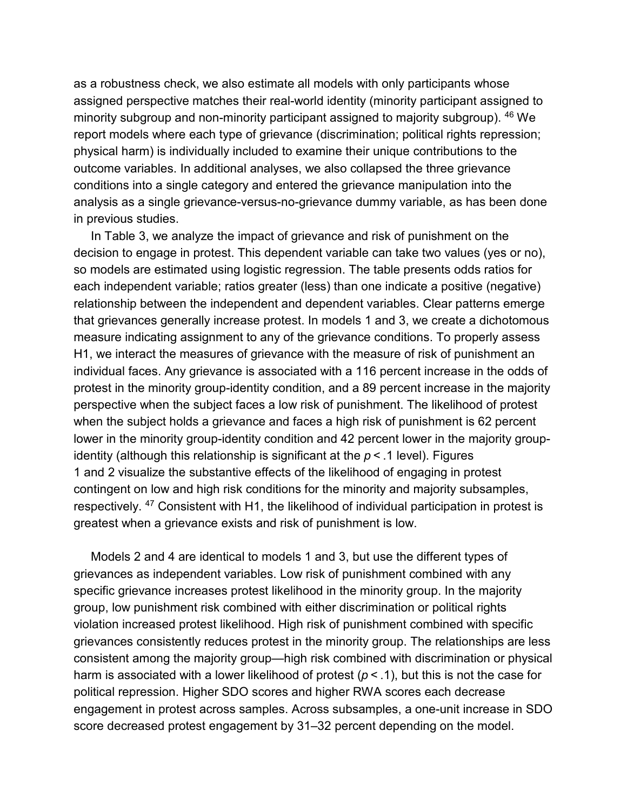as a robustness check, we also estimate all models with only participants whose assigned perspective matches their real-world identity (minority participant assigned to minority subgroup and non-minority participant assigned to majority subgroup). [46](https://www.tandfonline.com/reader/content/17f2b0c7109/10.1080/1057610X.2018.1507790/format/epub/EPUB/xhtml/index.xhtml#EN0046) We report models where each type of grievance (discrimination; political rights repression; physical harm) is individually included to examine their unique contributions to the outcome variables. In additional analyses, we also collapsed the three grievance conditions into a single category and entered the grievance manipulation into the analysis as a single grievance-versus-no-grievance dummy variable, as has been done in previous studies.

In [Table 3,](https://www.tandfonline.com/reader/content/17f2b0c7109/10.1080/1057610X.2018.1507790/format/epub/EPUB/xhtml/t0003.xhtml) we analyze the impact of grievance and risk of punishment on the decision to engage in protest. This dependent variable can take two values (yes or no), so models are estimated using logistic regression. The table presents odds ratios for each independent variable; ratios greater (less) than one indicate a positive (negative) relationship between the independent and dependent variables. Clear patterns emerge that grievances generally increase protest. In models 1 and 3, we create a dichotomous measure indicating assignment to any of the grievance conditions. To properly assess H1, we interact the measures of grievance with the measure of risk of punishment an individual faces. Any grievance is associated with a 116 percent increase in the odds of protest in the minority group-identity condition, and a 89 percent increase in the majority perspective when the subject faces a low risk of punishment. The likelihood of protest when the subject holds a grievance and faces a high risk of punishment is 62 percent lower in the minority group-identity condition and 42 percent lower in the majority groupidentity (although this relationship is significant at the *p* < .1 level). [Figures](https://www.tandfonline.com/reader/content/17f2b0c7109/10.1080/1057610X.2018.1507790/format/epub/EPUB/xhtml/f0001.xhtml)  [1](https://www.tandfonline.com/reader/content/17f2b0c7109/10.1080/1057610X.2018.1507790/format/epub/EPUB/xhtml/f0001.xhtml) and [2](https://www.tandfonline.com/reader/content/17f2b0c7109/10.1080/1057610X.2018.1507790/format/epub/EPUB/xhtml/f0002.xhtml) visualize the substantive effects of the likelihood of engaging in protest contingent on low and high risk conditions for the minority and majority subsamples, respectively. [47](https://www.tandfonline.com/reader/content/17f2b0c7109/10.1080/1057610X.2018.1507790/format/epub/EPUB/xhtml/index.xhtml#EN0047) Consistent with H1, the likelihood of individual participation in protest is greatest when a grievance exists and risk of punishment is low.

Models 2 and 4 are identical to models 1 and 3, but use the different types of grievances as independent variables. Low risk of punishment combined with any specific grievance increases protest likelihood in the minority group. In the majority group, low punishment risk combined with either discrimination or political rights violation increased protest likelihood. High risk of punishment combined with specific grievances consistently reduces protest in the minority group. The relationships are less consistent among the majority group—high risk combined with discrimination or physical harm is associated with a lower likelihood of protest (*p* < .1), but this is not the case for political repression. Higher SDO scores and higher RWA scores each decrease engagement in protest across samples. Across subsamples, a one-unit increase in SDO score decreased protest engagement by 31–32 percent depending on the model.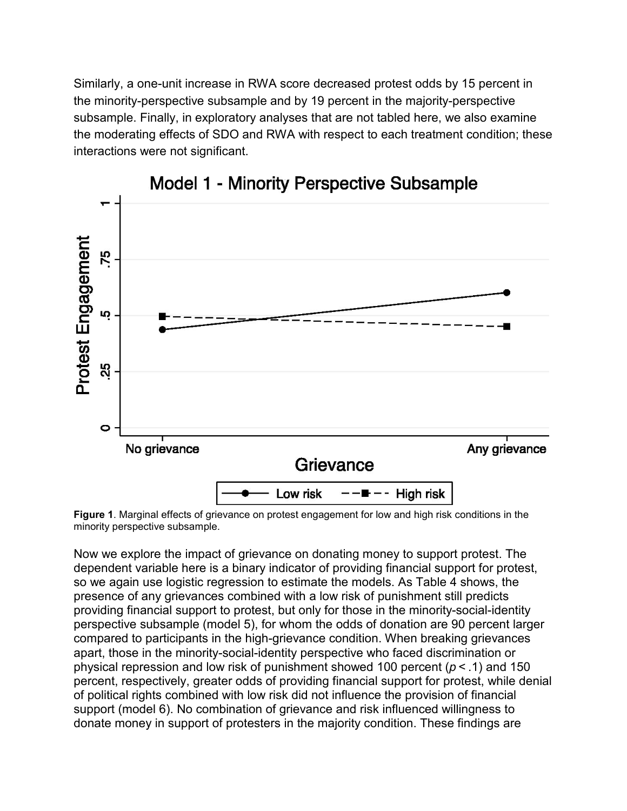Similarly, a one-unit increase in RWA score decreased protest odds by 15 percent in the minority-perspective subsample and by 19 percent in the majority-perspective subsample. Finally, in exploratory analyses that are not tabled here, we also examine the moderating effects of SDO and RWA with respect to each treatment condition; these interactions were not significant.



**Model 1 - Minority Perspective Subsample** 

**Figure 1**. Marginal effects of grievance on protest engagement for low and high risk conditions in the minority perspective subsample.

Now we explore the impact of grievance on donating money to support protest. The dependent variable here is a binary indicator of providing financial support for protest, so we again use logistic regression to estimate the models. As [Table 4](https://www.tandfonline.com/reader/content/17f2b0c7109/10.1080/1057610X.2018.1507790/format/epub/EPUB/xhtml/t0004.xhtml) shows, the presence of any grievances combined with a low risk of punishment still predicts providing financial support to protest, but only for those in the minority-social-identity perspective subsample (model 5), for whom the odds of donation are 90 percent larger compared to participants in the high-grievance condition. When breaking grievances apart, those in the minority-social-identity perspective who faced discrimination or physical repression and low risk of punishment showed 100 percent (*p* < .1) and 150 percent, respectively, greater odds of providing financial support for protest, while denial of political rights combined with low risk did not influence the provision of financial support (model 6). No combination of grievance and risk influenced willingness to donate money in support of protesters in the majority condition. These findings are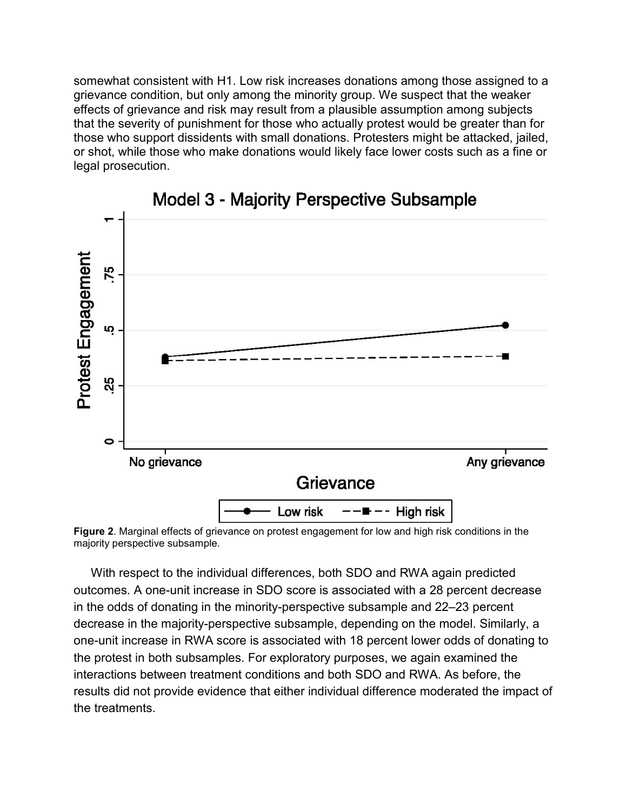somewhat consistent with H1. Low risk increases donations among those assigned to a grievance condition, but only among the minority group. We suspect that the weaker effects of grievance and risk may result from a plausible assumption among subjects that the severity of punishment for those who actually protest would be greater than for those who support dissidents with small donations. Protesters might be attacked, jailed, or shot, while those who make donations would likely face lower costs such as a fine or legal prosecution.



Model 3 - Majority Perspective Subsample

**Figure 2**. Marginal effects of grievance on protest engagement for low and high risk conditions in the majority perspective subsample.

With respect to the individual differences, both SDO and RWA again predicted outcomes. A one-unit increase in SDO score is associated with a 28 percent decrease in the odds of donating in the minority-perspective subsample and 22–23 percent decrease in the majority-perspective subsample, depending on the model. Similarly, a one-unit increase in RWA score is associated with 18 percent lower odds of donating to the protest in both subsamples. For exploratory purposes, we again examined the interactions between treatment conditions and both SDO and RWA. As before, the results did not provide evidence that either individual difference moderated the impact of the treatments.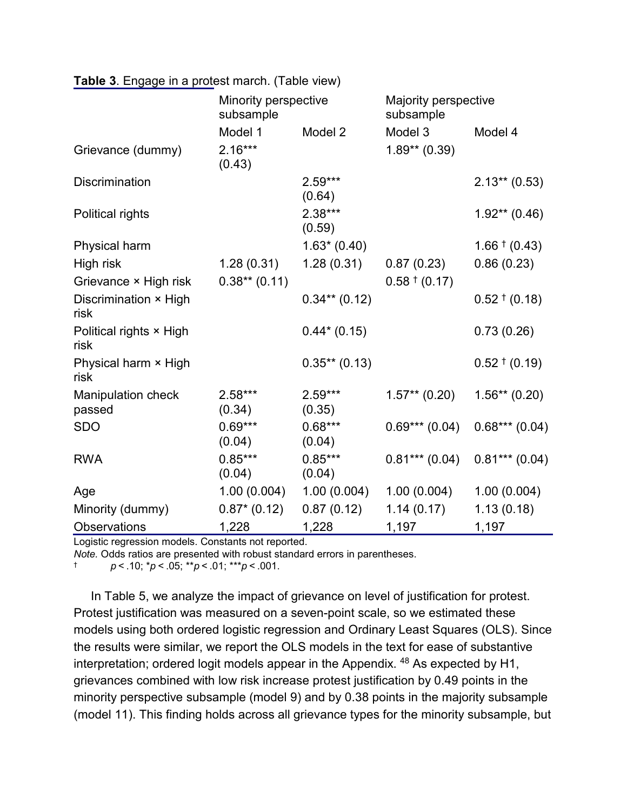|                                 | Minority perspective<br>subsample |                     | Majority perspective<br>subsample |                   |  |
|---------------------------------|-----------------------------------|---------------------|-----------------------------------|-------------------|--|
|                                 | Model 1                           | Model 2             | Model 3                           | Model 4           |  |
| Grievance (dummy)               | $2.16***$<br>(0.43)               |                     | $1.89**$ (0.39)                   |                   |  |
| <b>Discrimination</b>           |                                   | $2.59***$<br>(0.64) |                                   | $2.13**$ (0.53)   |  |
| <b>Political rights</b>         |                                   | $2.38***$<br>(0.59) |                                   | $1.92**$ (0.46)   |  |
| Physical harm                   |                                   | $1.63*(0.40)$       |                                   | $1.66 \t\t(0.43)$ |  |
| High risk                       | 1.28(0.31)                        | 1.28(0.31)          | 0.87(0.23)                        | 0.86(0.23)        |  |
| Grievance × High risk           | $0.38**$ (0.11)                   |                     | $0.58 \tpm (0.17)$                |                   |  |
| Discrimination × High<br>risk   |                                   | $0.34**$ (0.12)     |                                   | $0.52 \t\t(0.18)$ |  |
| Political rights × High<br>risk |                                   | $0.44*(0.15)$       |                                   | 0.73(0.26)        |  |
| Physical harm × High<br>risk    |                                   | $0.35**$ (0.13)     |                                   | $0.52 \t\t(0.19)$ |  |
| Manipulation check<br>passed    | $2.58***$<br>(0.34)               | $2.59***$<br>(0.35) | $1.57**$ (0.20)                   | $1.56**$ (0.20)   |  |
| <b>SDO</b>                      | $0.69***$<br>(0.04)               | $0.68***$<br>(0.04) | $0.69***(0.04)$                   | $0.68***(0.04)$   |  |
| <b>RWA</b>                      | $0.85***$<br>(0.04)               | $0.85***$<br>(0.04) | $0.81***(0.04)$                   | $0.81***$ (0.04)  |  |
| Age                             | 1.00(0.004)                       | 1.00(0.004)         | 1.00(0.004)                       | 1.00(0.004)       |  |
| Minority (dummy)                | $0.87* (0.12)$                    | 0.87(0.12)          | 1.14(0.17)                        | 1.13(0.18)        |  |
| <b>Observations</b>             | 1,228                             | 1,228               | 1,197                             | 1,197             |  |

Logistic regression models. Constants not reported.

*Note.* Odds ratios are presented with robust standard errors in parentheses.

† *p* < .10; \**p* < .05; \*\**p* < .01; \*\*\**p* < .001.

In [Table 5,](https://www.tandfonline.com/reader/content/17f2b0c7109/10.1080/1057610X.2018.1507790/format/epub/EPUB/xhtml/t0005.xhtml) we analyze the impact of grievance on level of justification for protest. Protest justification was measured on a seven-point scale, so we estimated these models using both ordered logistic regression and Ordinary Least Squares (OLS). Since the results were similar, we report the OLS models in the text for ease of substantive interpretation; ordered logit models appear in the Appendix. <sup>[48](https://www.tandfonline.com/reader/content/17f2b0c7109/10.1080/1057610X.2018.1507790/format/epub/EPUB/xhtml/index.xhtml#EN0048)</sup> As expected by H1, grievances combined with low risk increase protest justification by 0.49 points in the minority perspective subsample (model 9) and by 0.38 points in the majority subsample (model 11). This finding holds across all grievance types for the minority subsample, but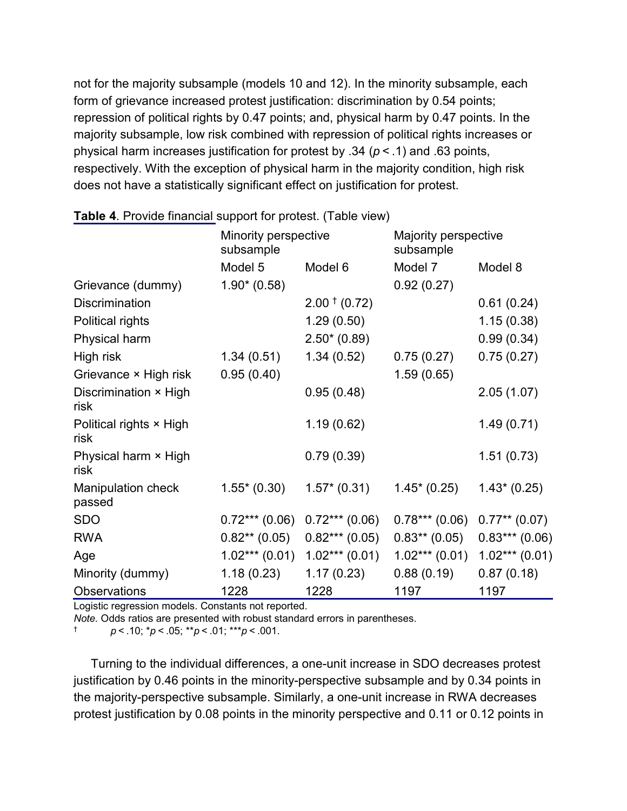not for the majority subsample (models 10 and 12). In the minority subsample, each form of grievance increased protest justification: discrimination by 0.54 points; repression of political rights by 0.47 points; and, physical harm by 0.47 points. In the majority subsample, low risk combined with repression of political rights increases or physical harm increases justification for protest by .34 (*p* < .1) and .63 points, respectively. With the exception of physical harm in the majority condition, high risk does not have a statistically significant effect on justification for protest.

|                                     | Minority perspective<br>subsample |                    | Majority perspective<br>subsample |                    |
|-------------------------------------|-----------------------------------|--------------------|-----------------------------------|--------------------|
|                                     | Model 5                           | Model 6            | Model 7                           | Model 8            |
| Grievance (dummy)                   | $1.90*(0.58)$                     |                    | 0.92(0.27)                        |                    |
| <b>Discrimination</b>               |                                   | $2.00 \tpm (0.72)$ |                                   | 0.61(0.24)         |
| Political rights                    |                                   | 1.29(0.50)         |                                   | 1.15(0.38)         |
| Physical harm                       |                                   | $2.50*(0.89)$      |                                   | 0.99(0.34)         |
| High risk                           | 1.34(0.51)                        | 1.34(0.52)         | 0.75(0.27)                        | 0.75(0.27)         |
| Grievance × High risk               | 0.95(0.40)                        |                    | 1.59(0.65)                        |                    |
| Discrimination × High<br>risk       |                                   | 0.95(0.48)         |                                   | 2.05(1.07)         |
| Political rights × High<br>risk     |                                   | 1.19(0.62)         |                                   | 1.49(0.71)         |
| Physical harm × High<br>risk        |                                   | 0.79(0.39)         |                                   | 1.51(0.73)         |
| <b>Manipulation check</b><br>passed | $1.55*(0.30)$                     | $1.57*(0.31)$      | $1.45^* (0.25)$                   | $1.43*(0.25)$      |
| <b>SDO</b>                          | $0.72***(0.06)$                   | $0.72***(0.06)$    | $0.78***(0.06)$                   | $0.77***$ $(0.07)$ |
| <b>RWA</b>                          | $0.82**$ (0.05)                   | $0.82***(0.05)$    | $0.83**$ (0.05)                   | $0.83***(0.06)$    |
| Age                                 | $1.02***(0.01)$                   | $1.02***(0.01)$    | $1.02***(0.01)$                   | $1.02***(0.01)$    |
| Minority (dummy)                    | 1.18(0.23)                        | 1.17(0.23)         | 0.88(0.19)                        | 0.87(0.18)         |
| <b>Observations</b>                 | 1228                              | 1228               | 1197                              | 1197               |

Logistic regression models. Constants not reported.

*Note.* Odds ratios are presented with robust standard errors in parentheses.

† *p* < .10; \**p* < .05; \*\**p* < .01; \*\*\**p* < .001.

Turning to the individual differences, a one-unit increase in SDO decreases protest justification by 0.46 points in the minority-perspective subsample and by 0.34 points in the majority-perspective subsample. Similarly, a one-unit increase in RWA decreases protest justification by 0.08 points in the minority perspective and 0.11 or 0.12 points in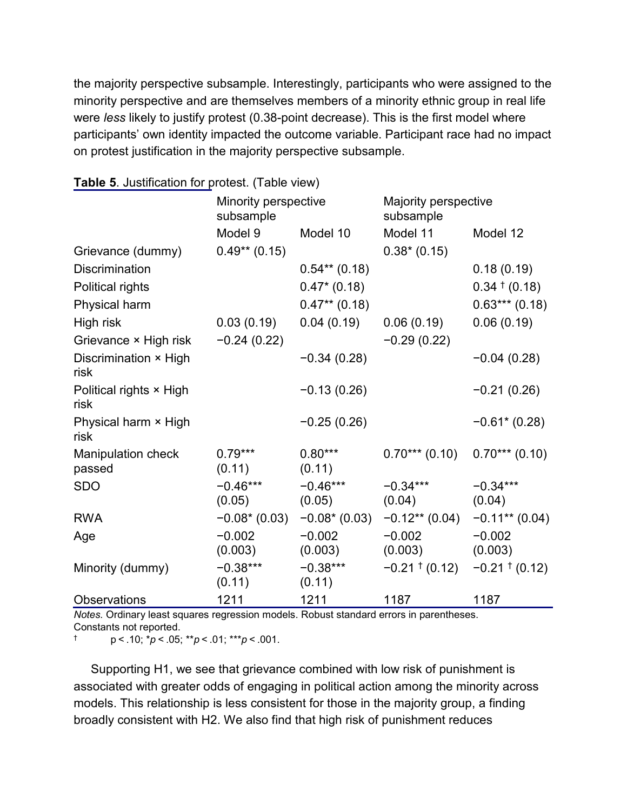the majority perspective subsample. Interestingly, participants who were assigned to the minority perspective and are themselves members of a minority ethnic group in real life were *less* likely to justify protest (0.38-point decrease). This is the first model where participants' own identity impacted the outcome variable. Participant race had no impact on protest justification in the majority perspective subsample.

|                                     | Minority perspective<br>subsample |                      | Majority perspective<br>subsample |                                       |
|-------------------------------------|-----------------------------------|----------------------|-----------------------------------|---------------------------------------|
|                                     | Model 9                           | Model 10             | Model 11                          | Model 12                              |
| Grievance (dummy)                   | $0.49**$ (0.15)                   |                      | $0.38*(0.15)$                     |                                       |
| <b>Discrimination</b>               |                                   | $0.54**$ (0.18)      |                                   | 0.18(0.19)                            |
| Political rights                    |                                   | $0.47*(0.18)$        |                                   | $0.34 \t\t(0.18)$                     |
| Physical harm                       |                                   | $0.47**$ (0.18)      |                                   | $0.63***(0.18)$                       |
| High risk                           | 0.03(0.19)                        | 0.04(0.19)           | 0.06(0.19)                        | 0.06(0.19)                            |
| Grievance × High risk               | $-0.24(0.22)$                     |                      | $-0.29(0.22)$                     |                                       |
| Discrimination × High<br>risk       |                                   | $-0.34(0.28)$        |                                   | $-0.04(0.28)$                         |
| Political rights × High<br>risk     |                                   | $-0.13(0.26)$        |                                   | $-0.21(0.26)$                         |
| Physical harm × High<br>risk        |                                   | $-0.25(0.26)$        |                                   | $-0.61$ $(0.28)$                      |
| <b>Manipulation check</b><br>passed | $0.79***$<br>(0.11)               | $0.80***$<br>(0.11)  | $0.70***$ (0.10)                  | $0.70***$ (0.10)                      |
| <b>SDO</b>                          | $-0.46***$<br>(0.05)              | $-0.46***$<br>(0.05) | $-0.34***$<br>(0.04)              | $-0.34***$<br>(0.04)                  |
| <b>RWA</b>                          | $-0.08*(0.03)$                    | $-0.08*(0.03)$       | $-0.12**$ (0.04) $-0.11**$ (0.04) |                                       |
| Age                                 | $-0.002$<br>(0.003)               | $-0.002$<br>(0.003)  | $-0.002$<br>(0.003)               | $-0.002$<br>(0.003)                   |
| Minority (dummy)                    | $-0.38***$<br>(0.11)              | $-0.38***$<br>(0.11) |                                   | $-0.21 \cdot 0.12$ $-0.21 \cdot 0.12$ |
| <b>Observations</b>                 | 1211                              | 1211                 | 1187                              | 1187                                  |

#### **Table 5**. Justification for protest. [\(Table view\)](https://www.tandfonline.com/reader/content/17f2b0c7109/10.1080/1057610X.2018.1507790/format/epub/EPUB/xhtml/t0005.xhtml)

*Notes.* Ordinary least squares regression models. Robust standard errors in parentheses. Constants not reported.

† p < .10; \**p* < .05; \*\**p* < .01; \*\*\**p* < .001.

Supporting H1, we see that grievance combined with low risk of punishment is associated with greater odds of engaging in political action among the minority across models. This relationship is less consistent for those in the majority group, a finding broadly consistent with H2. We also find that high risk of punishment reduces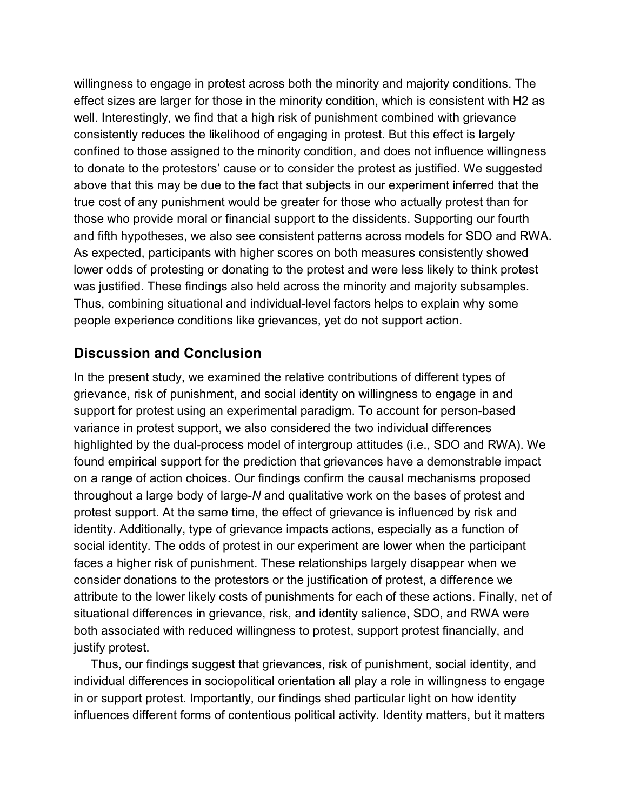willingness to engage in protest across both the minority and majority conditions. The effect sizes are larger for those in the minority condition, which is consistent with H2 as well. Interestingly, we find that a high risk of punishment combined with grievance consistently reduces the likelihood of engaging in protest. But this effect is largely confined to those assigned to the minority condition, and does not influence willingness to donate to the protestors' cause or to consider the protest as justified. We suggested above that this may be due to the fact that subjects in our experiment inferred that the true cost of any punishment would be greater for those who actually protest than for those who provide moral or financial support to the dissidents. Supporting our fourth and fifth hypotheses, we also see consistent patterns across models for SDO and RWA. As expected, participants with higher scores on both measures consistently showed lower odds of protesting or donating to the protest and were less likely to think protest was justified. These findings also held across the minority and majority subsamples. Thus, combining situational and individual-level factors helps to explain why some people experience conditions like grievances, yet do not support action.

## **Discussion and Conclusion**

In the present study, we examined the relative contributions of different types of grievance, risk of punishment, and social identity on willingness to engage in and support for protest using an experimental paradigm. To account for person-based variance in protest support, we also considered the two individual differences highlighted by the dual-process model of intergroup attitudes (i.e., SDO and RWA). We found empirical support for the prediction that grievances have a demonstrable impact on a range of action choices. Our findings confirm the causal mechanisms proposed throughout a large body of large-*N* and qualitative work on the bases of protest and protest support. At the same time, the effect of grievance is influenced by risk and identity. Additionally, type of grievance impacts actions, especially as a function of social identity. The odds of protest in our experiment are lower when the participant faces a higher risk of punishment. These relationships largely disappear when we consider donations to the protestors or the justification of protest, a difference we attribute to the lower likely costs of punishments for each of these actions. Finally, net of situational differences in grievance, risk, and identity salience, SDO, and RWA were both associated with reduced willingness to protest, support protest financially, and justify protest.

Thus, our findings suggest that grievances, risk of punishment, social identity, and individual differences in sociopolitical orientation all play a role in willingness to engage in or support protest. Importantly, our findings shed particular light on how identity influences different forms of contentious political activity. Identity matters, but it matters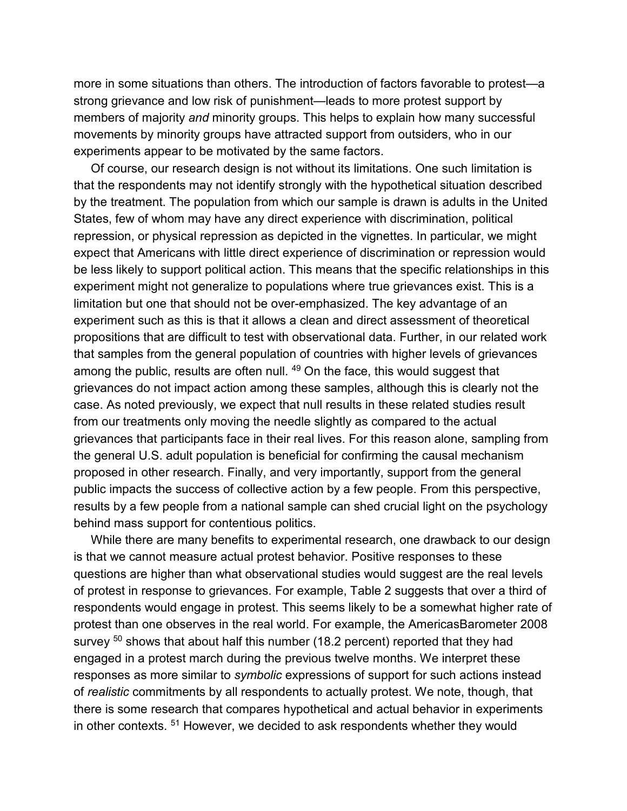more in some situations than others. The introduction of factors favorable to protest—a strong grievance and low risk of punishment—leads to more protest support by members of majority *and* minority groups. This helps to explain how many successful movements by minority groups have attracted support from outsiders, who in our experiments appear to be motivated by the same factors.

Of course, our research design is not without its limitations. One such limitation is that the respondents may not identify strongly with the hypothetical situation described by the treatment. The population from which our sample is drawn is adults in the United States, few of whom may have any direct experience with discrimination, political repression, or physical repression as depicted in the vignettes. In particular, we might expect that Americans with little direct experience of discrimination or repression would be less likely to support political action. This means that the specific relationships in this experiment might not generalize to populations where true grievances exist. This is a limitation but one that should not be over-emphasized. The key advantage of an experiment such as this is that it allows a clean and direct assessment of theoretical propositions that are difficult to test with observational data. Further, in our related work that samples from the general population of countries with higher levels of grievances among the public, results are often null. <sup>[49](https://www.tandfonline.com/reader/content/17f2b0c7109/10.1080/1057610X.2018.1507790/format/epub/EPUB/xhtml/index.xhtml#EN0049)</sup> On the face, this would suggest that grievances do not impact action among these samples, although this is clearly not the case. As noted previously, we expect that null results in these related studies result from our treatments only moving the needle slightly as compared to the actual grievances that participants face in their real lives. For this reason alone, sampling from the general U.S. adult population is beneficial for confirming the causal mechanism proposed in other research. Finally, and very importantly, support from the general public impacts the success of collective action by a few people. From this perspective, results by a few people from a national sample can shed crucial light on the psychology behind mass support for contentious politics.

While there are many benefits to experimental research, one drawback to our design is that we cannot measure actual protest behavior. Positive responses to these questions are higher than what observational studies would suggest are the real levels of protest in response to grievances. For example, [Table 2](https://www.tandfonline.com/reader/content/17f2b0c7109/10.1080/1057610X.2018.1507790/format/epub/EPUB/xhtml/t0002.xhtml) suggests that over a third of respondents would engage in protest. This seems likely to be a somewhat higher rate of protest than one observes in the real world. For example, the AmericasBarometer 2008 survey  $50$  shows that about half this number (18.2 percent) reported that they had engaged in a protest march during the previous twelve months. We interpret these responses as more similar to *symbolic* expressions of support for such actions instead of *realistic* commitments by all respondents to actually protest. We note, though, that there is some research that compares hypothetical and actual behavior in experiments in other contexts. [51](https://www.tandfonline.com/reader/content/17f2b0c7109/10.1080/1057610X.2018.1507790/format/epub/EPUB/xhtml/index.xhtml#EN0051) However, we decided to ask respondents whether they would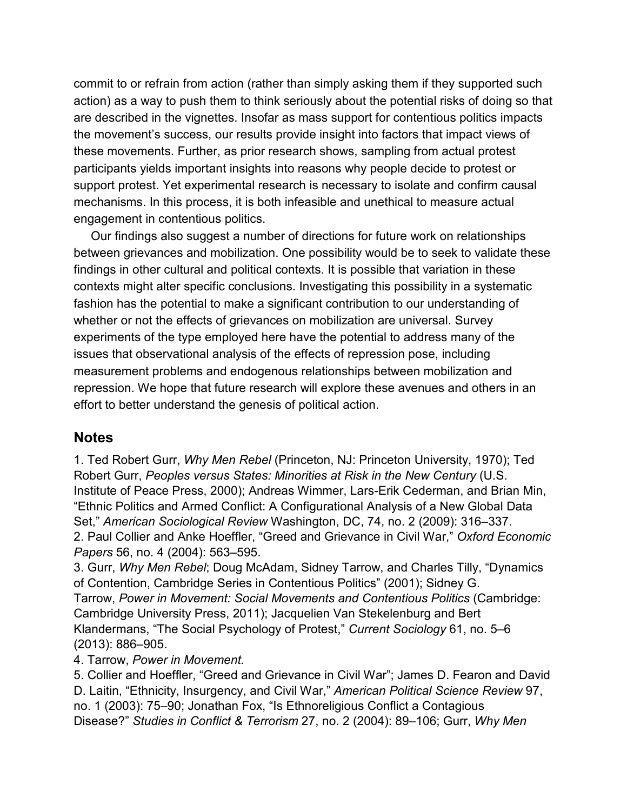commit to or refrain from action (rather than simply asking them if they supported such action) as a way to push them to think seriously about the potential risks of doing so that are described in the vignettes. Insofar as mass support for contentious politics impacts the movement's success, our results provide insight into factors that impact views of these movements. Further, as prior research shows, sampling from actual protest participants yields important insights into reasons why people decide to protest or support protest. Yet experimental research is necessary to isolate and confirm causal mechanisms. In this process, it is both infeasible and unethical to measure actual engagement in contentious politics.

Our findings also suggest a number of directions for future work on relationships between grievances and mobilization. One possibility would be to seek to validate these findings in other cultural and political contexts. It is possible that variation in these contexts might alter specific conclusions. Investigating this possibility in a systematic fashion has the potential to make a significant contribution to our understanding of whether or not the effects of grievances on mobilization are universal. Survey experiments of the type employed here have the potential to address many of the issues that observational analysis of the effects of repression pose, including measurement problems and endogenous relationships between mobilization and repression. We hope that future research will explore these avenues and others in an effort to better understand the genesis of political action.

#### **Notes**

1. Ted Robert Gurr, *Why Men Rebel* (Princeton, NJ: Princeton University, 1970); Ted Robert Gurr, *Peoples versus States: Minorities at Risk in the New Century* (U.S. Institute of Peace Press, 2000); Andreas Wimmer, Lars-Erik Cederman, and Brian Min, "Ethnic Politics and Armed Conflict: A Configurational Analysis of a New Global Data Set," *American Sociological Review* Washington, DC, 74, no. 2 (2009): 316–337. 2. Paul Collier and Anke Hoeffler, "Greed and Grievance in Civil War," *Oxford Economic Papers* 56, no. 4 (2004): 563–595.

3. Gurr, *Why Men Rebel*; Doug McAdam, Sidney Tarrow, and Charles Tilly, "Dynamics of Contention, Cambridge Series in Contentious Politics" (2001); Sidney G. Tarrow, *Power in Movement: Social Movements and Contentious Politics* (Cambridge: Cambridge University Press, 2011); Jacquelien Van Stekelenburg and Bert Klandermans, "The Social Psychology of Protest," *Current Sociology* 61, no. 5–6 (2013): 886–905.

4. Tarrow, *Power in Movement.*

5. Collier and Hoeffler, "Greed and Grievance in Civil War"; James D. Fearon and David D. Laitin, "Ethnicity, Insurgency, and Civil War," *American Political Science Review* 97, no. 1 (2003): 75–90; Jonathan Fox, "Is Ethnoreligious Conflict a Contagious Disease?" *Studies in Conflict & Terrorism* 27, no. 2 (2004): 89–106; Gurr, *Why Men*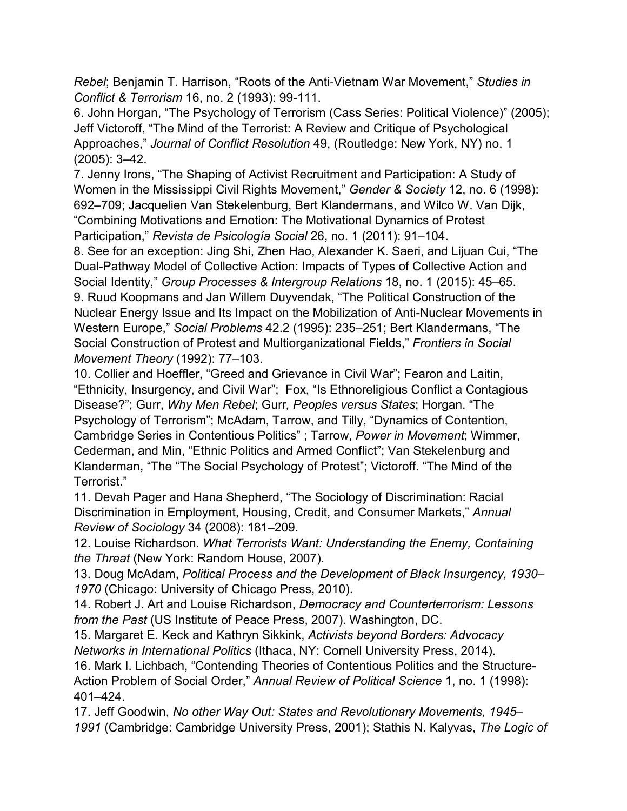*Rebel*; Benjamin T. Harrison, "Roots of the Anti‐Vietnam War Movement," *Studies in Conflict & Terrorism* 16, no. 2 (1993): 99-111.

6. John Horgan, "The Psychology of Terrorism (Cass Series: Political Violence)" (2005); Jeff Victoroff, "The Mind of the Terrorist: A Review and Critique of Psychological Approaches," *Journal of Conflict Resolution* 49, (Routledge: New York, NY) no. 1 (2005): 3–42.

7. Jenny Irons, "The Shaping of Activist Recruitment and Participation: A Study of Women in the Mississippi Civil Rights Movement," *Gender & Society* 12, no. 6 (1998): 692–709; Jacquelien Van Stekelenburg, Bert Klandermans, and Wilco W. Van Dijk, "Combining Motivations and Emotion: The Motivational Dynamics of Protest Participation," *Revista de Psicología Social* 26, no. 1 (2011): 91–104.

8. See for an exception: Jing Shi, Zhen Hao, Alexander K. Saeri, and Lijuan Cui, "The Dual-Pathway Model of Collective Action: Impacts of Types of Collective Action and Social Identity," *Group Processes & Intergroup Relations* 18, no. 1 (2015): 45–65. 9. Ruud Koopmans and Jan Willem Duyvendak, "The Political Construction of the Nuclear Energy Issue and Its Impact on the Mobilization of Anti-Nuclear Movements in Western Europe," *Social Problems* 42.2 (1995): 235–251; Bert Klandermans, "The Social Construction of Protest and Multiorganizational Fields," *Frontiers in Social Movement Theory* (1992): 77–103.

10. Collier and Hoeffler, "Greed and Grievance in Civil War"; Fearon and Laitin, "Ethnicity, Insurgency, and Civil War"; Fox, "Is Ethnoreligious Conflict a Contagious Disease?"; Gurr, *Why Men Rebel*; Gurr*, Peoples versus States*; Horgan. "The Psychology of Terrorism"; McAdam, Tarrow, and Tilly, "Dynamics of Contention, Cambridge Series in Contentious Politics" ; Tarrow, *Power in Movement*; Wimmer, Cederman, and Min, "Ethnic Politics and Armed Conflict"; Van Stekelenburg and Klanderman, "The "The Social Psychology of Protest"; Victoroff. "The Mind of the Terrorist."

11. Devah Pager and Hana Shepherd, "The Sociology of Discrimination: Racial Discrimination in Employment, Housing, Credit, and Consumer Markets," *Annual Review of Sociology* 34 (2008): 181–209.

12. Louise Richardson. *What Terrorists Want: Understanding the Enemy, Containing the Threat* (New York: Random House, 2007).

13. Doug McAdam, *Political Process and the Development of Black Insurgency, 1930– 1970* (Chicago: University of Chicago Press, 2010).

14. Robert J. Art and Louise Richardson, *Democracy and Counterterrorism: Lessons from the Past* (US Institute of Peace Press, 2007). Washington, DC.

15. Margaret E. Keck and Kathryn Sikkink, *Activists beyond Borders: Advocacy Networks in International Politics* (Ithaca, NY: Cornell University Press, 2014).

16. Mark I. Lichbach, "Contending Theories of Contentious Politics and the Structure-Action Problem of Social Order," *Annual Review of Political Science* 1, no. 1 (1998): 401–424.

17. Jeff Goodwin, *No other Way Out: States and Revolutionary Movements, 1945– 1991* (Cambridge: Cambridge University Press, 2001); Stathis N. Kalyvas, *The Logic of*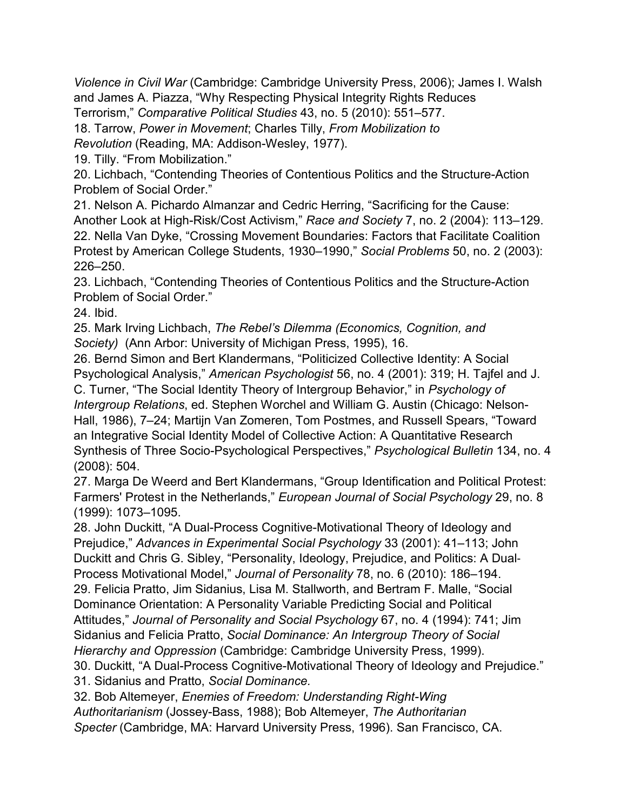*Violence in Civil War* (Cambridge: Cambridge University Press, 2006); James I. Walsh and James A. Piazza, "Why Respecting Physical Integrity Rights Reduces

Terrorism," *Comparative Political Studies* 43, no. 5 (2010): 551–577.

18. Tarrow, *Power in Movement*; Charles Tilly, *From Mobilization to* 

*Revolution* (Reading, MA: Addison-Wesley, 1977).

19. Tilly. "From Mobilization."

20. Lichbach, "Contending Theories of Contentious Politics and the Structure-Action Problem of Social Order."

21. Nelson A. Pichardo Almanzar and Cedric Herring, "Sacrificing for the Cause: Another Look at High-Risk/Cost Activism," *Race and Society* 7, no. 2 (2004): 113–129. 22. Nella Van Dyke, "Crossing Movement Boundaries: Factors that Facilitate Coalition Protest by American College Students, 1930–1990," *Social Problems* 50, no. 2 (2003): 226–250.

23. Lichbach, "Contending Theories of Contentious Politics and the Structure-Action Problem of Social Order."

24. Ibid.

25. Mark Irving Lichbach, *The Rebel's Dilemma (Economics, Cognition, and Society)* (Ann Arbor: University of Michigan Press, 1995), 16.

26. Bernd Simon and Bert Klandermans, "Politicized Collective Identity: A Social Psychological Analysis," *American Psychologist* 56, no. 4 (2001): 319; H. Tajfel and J. C. Turner, "The Social Identity Theory of Intergroup Behavior," in *Psychology of Intergroup Relations*, ed. Stephen Worchel and William G. Austin (Chicago: Nelson-Hall, 1986), 7–24; Martijn Van Zomeren, Tom Postmes, and Russell Spears, "Toward an Integrative Social Identity Model of Collective Action: A Quantitative Research

Synthesis of Three Socio-Psychological Perspectives," *Psychological Bulletin* 134, no. 4 (2008): 504.

27. Marga De Weerd and Bert Klandermans, "Group Identification and Political Protest: Farmers' Protest in the Netherlands," *European Journal of Social Psychology* 29, no. 8 (1999): 1073–1095.

28. John Duckitt, "A Dual-Process Cognitive-Motivational Theory of Ideology and Prejudice," *Advances in Experimental Social Psychology* 33 (2001): 41–113; John Duckitt and Chris G. Sibley, "Personality, Ideology, Prejudice, and Politics: A Dual‐ Process Motivational Model," *Journal of Personality* 78, no. 6 (2010): 186–194. 29. Felicia Pratto, Jim Sidanius, Lisa M. Stallworth, and Bertram F. Malle, "Social Dominance Orientation: A Personality Variable Predicting Social and Political Attitudes," *Journal of Personality and Social Psychology* 67, no. 4 (1994): 741; Jim Sidanius and Felicia Pratto, *Social Dominance: An Intergroup Theory of Social Hierarchy and Oppression* (Cambridge: Cambridge University Press, 1999).

30. Duckitt, "A Dual-Process Cognitive-Motivational Theory of Ideology and Prejudice."

31. Sidanius and Pratto, *Social Dominance.*

32. Bob Altemeyer, *Enemies of Freedom: Understanding Right-Wing Authoritarianism* (Jossey-Bass, 1988); Bob Altemeyer, *The Authoritarian Specter* (Cambridge, MA: Harvard University Press, 1996). San Francisco, CA.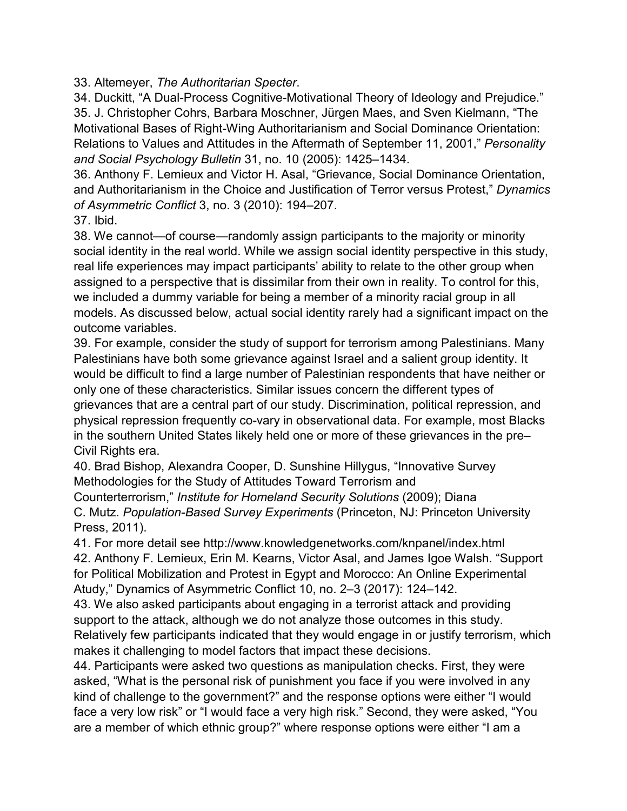33. Altemeyer, *The Authoritarian Specter*.

34. Duckitt, "A Dual-Process Cognitive-Motivational Theory of Ideology and Prejudice." 35. J. Christopher Cohrs, Barbara Moschner, Jürgen Maes, and Sven Kielmann, "The Motivational Bases of Right-Wing Authoritarianism and Social Dominance Orientation: Relations to Values and Attitudes in the Aftermath of September 11, 2001," *Personality and Social Psychology Bulletin* 31, no. 10 (2005): 1425–1434.

36. Anthony F. Lemieux and Victor H. Asal, "Grievance, Social Dominance Orientation, and Authoritarianism in the Choice and Justification of Terror versus Protest," *Dynamics of Asymmetric Conflict* 3, no. 3 (2010): 194–207.

37. Ibid.

38. We cannot—of course—randomly assign participants to the majority or minority social identity in the real world. While we assign social identity perspective in this study, real life experiences may impact participants' ability to relate to the other group when assigned to a perspective that is dissimilar from their own in reality. To control for this, we included a dummy variable for being a member of a minority racial group in all models. As discussed below, actual social identity rarely had a significant impact on the outcome variables.

39. For example, consider the study of support for terrorism among Palestinians. Many Palestinians have both some grievance against Israel and a salient group identity. It would be difficult to find a large number of Palestinian respondents that have neither or only one of these characteristics. Similar issues concern the different types of grievances that are a central part of our study. Discrimination, political repression, and physical repression frequently co-vary in observational data. For example, most Blacks in the southern United States likely held one or more of these grievances in the pre– Civil Rights era.

40. Brad Bishop, Alexandra Cooper, D. Sunshine Hillygus, "Innovative Survey Methodologies for the Study of Attitudes Toward Terrorism and

Counterterrorism," *Institute for Homeland Security Solutions* (2009); Diana C. Mutz. *Population-Based Survey Experiments* (Princeton, NJ: Princeton University Press, 2011).

41. For more detail see <http://www.knowledgenetworks.com/knpanel/index.html> 42. Anthony F. Lemieux, Erin M. Kearns, Victor Asal, and James Igoe Walsh. "Support for Political Mobilization and Protest in Egypt and Morocco: An Online Experimental Atudy," Dynamics of Asymmetric Conflict 10, no. 2–3 (2017): 124–142.

43. We also asked participants about engaging in a terrorist attack and providing support to the attack, although we do not analyze those outcomes in this study. Relatively few participants indicated that they would engage in or justify terrorism, which makes it challenging to model factors that impact these decisions.

44. Participants were asked two questions as manipulation checks. First, they were asked, "What is the personal risk of punishment you face if you were involved in any kind of challenge to the government?" and the response options were either "I would face a very low risk" or "I would face a very high risk." Second, they were asked, "You are a member of which ethnic group?" where response options were either "I am a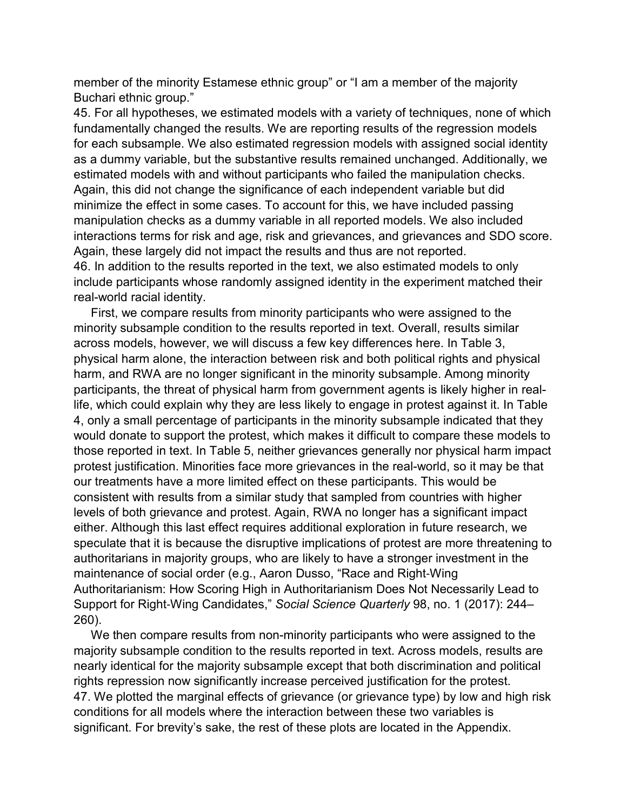member of the minority Estamese ethnic group" or "I am a member of the majority Buchari ethnic group."

45. For all hypotheses, we estimated models with a variety of techniques, none of which fundamentally changed the results. We are reporting results of the regression models for each subsample. We also estimated regression models with assigned social identity as a dummy variable, but the substantive results remained unchanged. Additionally, we estimated models with and without participants who failed the manipulation checks. Again, this did not change the significance of each independent variable but did minimize the effect in some cases. To account for this, we have included passing manipulation checks as a dummy variable in all reported models. We also included interactions terms for risk and age, risk and grievances, and grievances and SDO score. Again, these largely did not impact the results and thus are not reported. 46. In addition to the results reported in the text, we also estimated models to only include participants whose randomly assigned identity in the experiment matched their real-world racial identity.

First, we compare results from minority participants who were assigned to the minority subsample condition to the results reported in text. Overall, results similar across models, however, we will discuss a few key differences here. In [Table 3,](https://www.tandfonline.com/reader/content/17f2b0c7109/10.1080/1057610X.2018.1507790/format/epub/EPUB/xhtml/t0003.xhtml) physical harm alone, the interaction between risk and both political rights and physical harm, and RWA are no longer significant in the minority subsample. Among minority participants, the threat of physical harm from government agents is likely higher in reallife, which could explain why they are less likely to engage in protest against it. In [Table](https://www.tandfonline.com/reader/content/17f2b0c7109/10.1080/1057610X.2018.1507790/format/epub/EPUB/xhtml/t0004.xhtml)  [4,](https://www.tandfonline.com/reader/content/17f2b0c7109/10.1080/1057610X.2018.1507790/format/epub/EPUB/xhtml/t0004.xhtml) only a small percentage of participants in the minority subsample indicated that they would donate to support the protest, which makes it difficult to compare these models to those reported in text. In [Table 5,](https://www.tandfonline.com/reader/content/17f2b0c7109/10.1080/1057610X.2018.1507790/format/epub/EPUB/xhtml/t0005.xhtml) neither grievances generally nor physical harm impact protest justification. Minorities face more grievances in the real-world, so it may be that our treatments have a more limited effect on these participants. This would be consistent with results from a similar study that sampled from countries with higher levels of both grievance and protest. Again, RWA no longer has a significant impact either. Although this last effect requires additional exploration in future research, we speculate that it is because the disruptive implications of protest are more threatening to authoritarians in majority groups, who are likely to have a stronger investment in the maintenance of social order (e.g., Aaron Dusso, "Race and Right‐Wing Authoritarianism: How Scoring High in Authoritarianism Does Not Necessarily Lead to Support for Right‐Wing Candidates," *Social Science Quarterly* 98, no. 1 (2017): 244– 260).

We then compare results from non-minority participants who were assigned to the majority subsample condition to the results reported in text. Across models, results are nearly identical for the majority subsample except that both discrimination and political rights repression now significantly increase perceived justification for the protest. 47. We plotted the marginal effects of grievance (or grievance type) by low and high risk conditions for all models where the interaction between these two variables is significant. For brevity's sake, the rest of these plots are located in the Appendix.